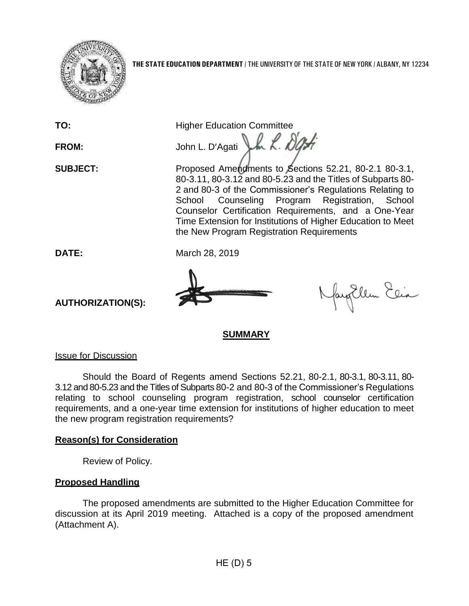

**TO:** Higher Education Committee FROM: John L. D'Agati LA 2. 80

**SUBJECT:** Proposed Amendments to Sections 52.21, 80-2.1 80-3.1, 80-3.11, 80-3.12 and 80-5.23 and the Titles of Subparts 80- 2 and 80-3 of the Commissioner's Regulations Relating to School Counseling Program Registration, School Counselor Certification Requirements, and a One-Year Time Extension for Institutions of Higher Education to Meet the New Program Registration Requirements

**DATE:** March 28, 2019



fayEllen Elia

**SUMMARY**

Issue for Discussion

**AUTHORIZATION(S):**

Should the Board of Regents amend Sections 52.21, 80-2.1, 80-3.1, 80-3.11, 80- 3.12 and 80-5.23 and the Titles of Subparts 80-2 and 80-3 of the Commissioner's Regulations relating to school counseling program registration, school counselor certification requirements, and a one-year time extension for institutions of higher education to meet the new program registration requirements?

# **Reason(s) for Consideration**

Review of Policy.

# **Proposed Handling**

The proposed amendments are submitted to the Higher Education Committee for discussion at its April 2019 meeting. Attached is a copy of the proposed amendment (Attachment A).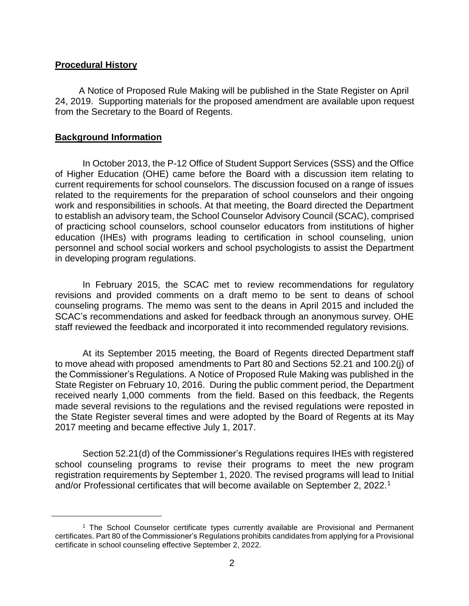### **Procedural History**

A Notice of Proposed Rule Making will be published in the State Register on April 24, 2019. Supporting materials for the proposed amendment are available upon request from the Secretary to the Board of Regents.

### **Background Information**

 $\overline{a}$ 

In October 2013, the P-12 Office of Student Support Services (SSS) and the Office of Higher Education (OHE) came before the Board with a discussion item relating to current requirements for school counselors. The discussion focused on a range of issues related to the requirements for the preparation of school counselors and their ongoing work and responsibilities in schools. At that meeting, the Board directed the Department to establish an advisory team, the School Counselor Advisory Council (SCAC), comprised of practicing school counselors, school counselor educators from institutions of higher education (IHEs) with programs leading to certification in school counseling, union personnel and school social workers and school psychologists to assist the Department in developing program regulations.

In February 2015, the SCAC met to review recommendations for regulatory revisions and provided comments on a draft memo to be sent to deans of school counseling programs. The memo was sent to the deans in April 2015 and included the SCAC's recommendations and asked for feedback through an anonymous survey. OHE staff reviewed the feedback and incorporated it into recommended regulatory revisions.

At its September 2015 meeting, the Board of Regents directed Department staff to move ahead with proposed amendments to Part 80 and Sections 52.21 and 100.2(j) of the Commissioner's Regulations. A Notice of Proposed Rule Making was published in the State Register on February 10, 2016. During the public comment period, the Department received nearly 1,000 comments from the field. Based on this feedback, the Regents made several revisions to the regulations and the revised regulations were reposted in the State Register several times and were adopted by the Board of Regents at its May 2017 meeting and became effective July 1, 2017.

Section 52.21(d) of the Commissioner's Regulations requires IHEs with registered school counseling programs to revise their programs to meet the new program registration requirements by September 1, 2020. The revised programs will lead to Initial and/or Professional certificates that will become available on September 2, 2022.<sup>1</sup>

<sup>1</sup> The School Counselor certificate types currently available are Provisional and Permanent certificates. Part 80 of the Commissioner's Regulations prohibits candidates from applying for a Provisional certificate in school counseling effective September 2, 2022.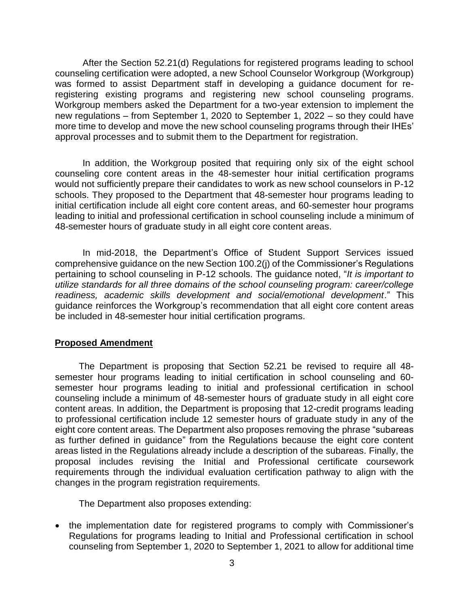After the Section 52.21(d) Regulations for registered programs leading to school counseling certification were adopted, a new School Counselor Workgroup (Workgroup) was formed to assist Department staff in developing a guidance document for reregistering existing programs and registering new school counseling programs. Workgroup members asked the Department for a two-year extension to implement the new regulations – from September 1, 2020 to September 1, 2022 – so they could have more time to develop and move the new school counseling programs through their IHEs' approval processes and to submit them to the Department for registration.

In addition, the Workgroup posited that requiring only six of the eight school counseling core content areas in the 48-semester hour initial certification programs would not sufficiently prepare their candidates to work as new school counselors in P-12 schools. They proposed to the Department that 48-semester hour programs leading to initial certification include all eight core content areas, and 60-semester hour programs leading to initial and professional certification in school counseling include a minimum of 48-semester hours of graduate study in all eight core content areas.

In mid-2018, the Department's Office of Student Support Services issued comprehensive guidance on the new Section 100.2(j) of the Commissioner's Regulations pertaining to school counseling in P-12 schools. The guidance noted, "*It is important to utilize standards for all three domains of the school counseling program: career/college readiness, academic skills development and social/emotional development*." This guidance reinforces the Workgroup's recommendation that all eight core content areas be included in 48-semester hour initial certification programs.

## **Proposed Amendment**

The Department is proposing that Section 52.21 be revised to require all 48 semester hour programs leading to initial certification in school counseling and 60 semester hour programs leading to initial and professional certification in school counseling include a minimum of 48-semester hours of graduate study in all eight core content areas. In addition, the Department is proposing that 12-credit programs leading to professional certification include 12 semester hours of graduate study in any of the eight core content areas. The Department also proposes removing the phrase "subareas as further defined in guidance" from the Regulations because the eight core content areas listed in the Regulations already include a description of the subareas. Finally, the proposal includes revising the Initial and Professional certificate coursework requirements through the individual evaluation certification pathway to align with the changes in the program registration requirements.

The Department also proposes extending:

• the implementation date for registered programs to comply with Commissioner's Regulations for programs leading to Initial and Professional certification in school counseling from September 1, 2020 to September 1, 2021 to allow for additional time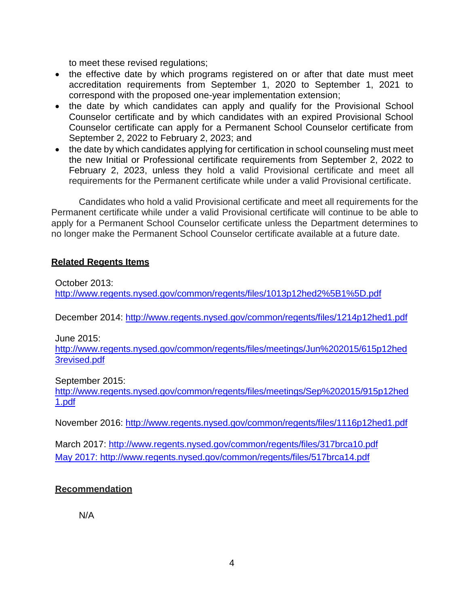to meet these revised regulations;

- the effective date by which programs registered on or after that date must meet accreditation requirements from September 1, 2020 to September 1, 2021 to correspond with the proposed one-year implementation extension;
- the date by which candidates can apply and qualify for the Provisional School Counselor certificate and by which candidates with an expired Provisional School Counselor certificate can apply for a Permanent School Counselor certificate from September 2, 2022 to February 2, 2023; and
- the date by which candidates applying for certification in school counseling must meet the new Initial or Professional certificate requirements from September 2, 2022 to February 2, 2023, unless they hold a valid Provisional certificate and meet all requirements for the Permanent certificate while under a valid Provisional certificate.

Candidates who hold a valid Provisional certificate and meet all requirements for the Permanent certificate while under a valid Provisional certificate will continue to be able to apply for a Permanent School Counselor certificate unless the Department determines to no longer make the Permanent School Counselor certificate available at a future date.

# **Related Regents Items**

October 2013: <http://www.regents.nysed.gov/common/regents/files/1013p12hed2%5B1%5D.pdf>

December 2014:<http://www.regents.nysed.gov/common/regents/files/1214p12hed1.pdf>

June 2015:

<http://www.regents.nysed.gov/common/regents/files/meetings/Jun%202015/615p12hed> [3revised.pdf](http://www.regents.nysed.gov/common/regents/files/meetings/Jun%202015/615p12hed3revised.pdf)

September 2015:

<http://www.regents.nysed.gov/common/regents/files/meetings/Sep%202015/915p12hed> [1.pdf](http://www.regents.nysed.gov/common/regents/files/meetings/Sep%202015/915p12hed1.pdf)

November 2016:<http://www.regents.nysed.gov/common/regents/files/1116p12hed1.pdf>

March 2017:<http://www.regents.nysed.gov/common/regents/files/317brca10.pdf> May 2017: http://www.regents.nysed.gov/common/regents/files/517brca14.pdf

# **Recommendation**

N/A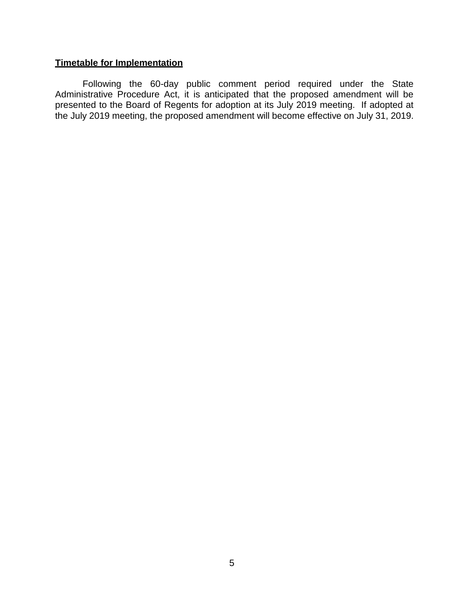## **Timetable for Implementation**

Following the 60-day public comment period required under the State Administrative Procedure Act, it is anticipated that the proposed amendment will be presented to the Board of Regents for adoption at its July 2019 meeting. If adopted at the July 2019 meeting, the proposed amendment will become effective on July 31, 2019.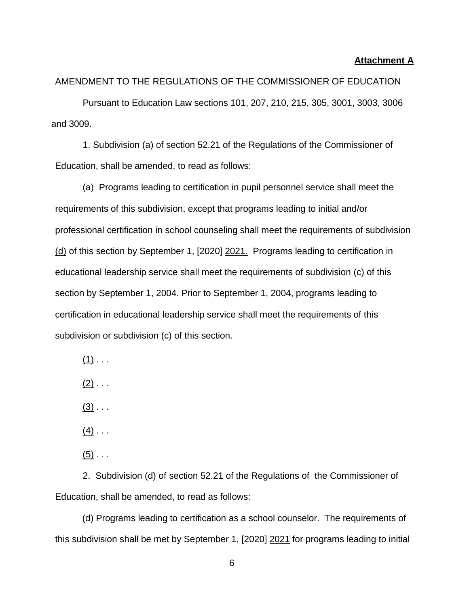#### **Attachment A**

### AMENDMENT TO THE REGULATIONS OF THE COMMISSIONER OF EDUCATION

Pursuant to Education Law sections 101, 207, 210, 215, 305, 3001, 3003, 3006 and 3009.

1. Subdivision (a) of section 52.21 of the Regulations of the Commissioner of Education, shall be amended, to read as follows:

(a) Programs leading to certification in pupil personnel service shall meet the requirements of this subdivision, except that programs leading to initial and/or professional certification in school counseling shall meet the requirements of subdivision (d) of this section by September 1, [2020] 2021. Programs leading to certification in educational leadership service shall meet the requirements of subdivision (c) of this section by September 1, 2004. Prior to September 1, 2004, programs leading to certification in educational leadership service shall meet the requirements of this subdivision or subdivision (c) of this section.

 $(1)$  . . .

 $(2)$  . . .

 $(3)$  . . .

 $(4)$  . . .

 $(5)$  . . .

2. Subdivision (d) of section 52.21 of the Regulations of the Commissioner of Education, shall be amended, to read as follows:

(d) Programs leading to certification as a school counselor. The requirements of this subdivision shall be met by September 1, [2020] 2021 for programs leading to initial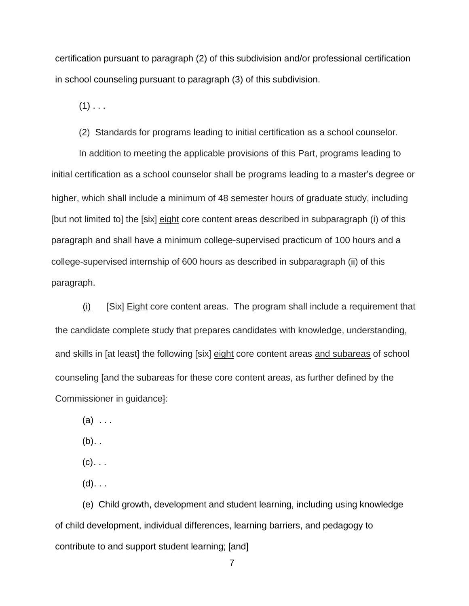certification pursuant to paragraph (2) of this subdivision and/or professional certification in school counseling pursuant to paragraph (3) of this subdivision.

 $(1)$  . . .

(2) Standards for programs leading to initial certification as a school counselor.

In addition to meeting the applicable provisions of this Part, programs leading to initial certification as a school counselor shall be programs leading to a master's degree or higher, which shall include a minimum of 48 semester hours of graduate study, including [but not limited to] the [six] eight core content areas described in subparagraph (i) of this paragraph and shall have a minimum college-supervised practicum of 100 hours and a college-supervised internship of 600 hours as described in subparagraph (ii) of this paragraph.

(i) [Six] Eight core content areas. The program shall include a requirement that the candidate complete study that prepares candidates with knowledge, understanding, and skills in [at least] the following [six] eight core content areas and subareas of school counseling [and the subareas for these core content areas, as further defined by the Commissioner in guidance]:

 $(a)$  ...

 $(b)$ ..

 $(c)$ ...

 $(d)$ . . .

(e) Child growth, development and student learning, including using knowledge of child development, individual differences, learning barriers, and pedagogy to contribute to and support student learning; [and]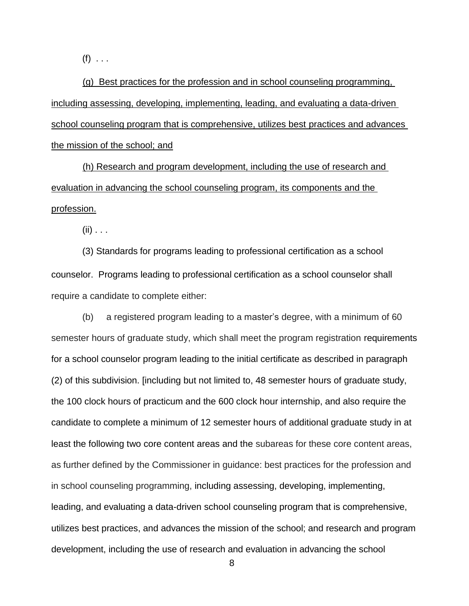$(f) \ldots$ 

(g) Best practices for the profession and in school counseling programming, including assessing, developing, implementing, leading, and evaluating a data-driven school counseling program that is comprehensive, utilizes best practices and advances the mission of the school; and

(h) Research and program development, including the use of research and evaluation in advancing the school counseling program, its components and the profession.

 $(ii)$  . . .

(3) Standards for programs leading to professional certification as a school counselor. Programs leading to professional certification as a school counselor shall require a candidate to complete either:

(b) a registered program leading to a master's degree, with a minimum of 60 semester hours of graduate study, which shall meet the program registration requirements for a school counselor program leading to the initial certificate as described in paragraph (2) of this subdivision. [including but not limited to, 48 semester hours of graduate study, the 100 clock hours of practicum and the 600 clock hour internship, and also require the candidate to complete a minimum of 12 semester hours of additional graduate study in at least the following two core content areas and the subareas for these core content areas, as further defined by the Commissioner in guidance: best practices for the profession and in school counseling programming, including assessing, developing, implementing, leading, and evaluating a data-driven school counseling program that is comprehensive, utilizes best practices, and advances the mission of the school; and research and program development, including the use of research and evaluation in advancing the school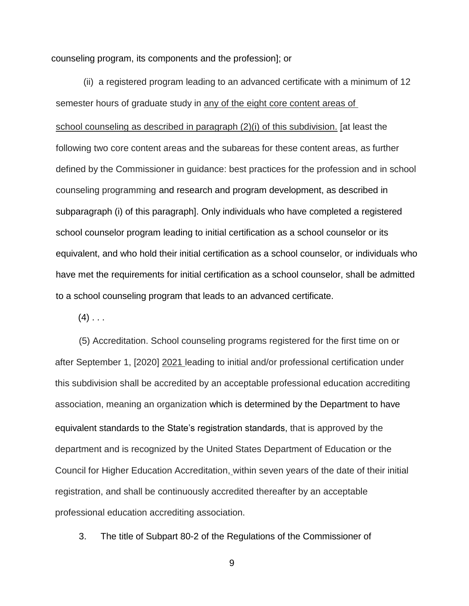counseling program, its components and the profession]; or

(ii) a registered program leading to an advanced certificate with a minimum of 12 semester hours of graduate study in any of the eight core content areas of school counseling as described in paragraph (2)(i) of this subdivision. [at least the following two core content areas and the subareas for these content areas, as further defined by the Commissioner in guidance: best practices for the profession and in school counseling programming and research and program development, as described in subparagraph (i) of this paragraph]. Only individuals who have completed a registered school counselor program leading to initial certification as a school counselor or its equivalent, and who hold their initial certification as a school counselor, or individuals who have met the requirements for initial certification as a school counselor, shall be admitted to a school counseling program that leads to an advanced certificate.

 $(4)$  . . .

(5) Accreditation. School counseling programs registered for the first time on or after September 1, [2020] 2021 leading to initial and/or professional certification under this subdivision shall be accredited by an acceptable professional education accrediting association, meaning an organization which is determined by the Department to have equivalent standards to the State's registration standards, that is approved by the department and is recognized by the United States Department of Education or the Council for Higher Education Accreditation, within seven years of the date of their initial registration, and shall be continuously accredited thereafter by an acceptable professional education accrediting association.

3. The title of Subpart 80-2 of the Regulations of the Commissioner of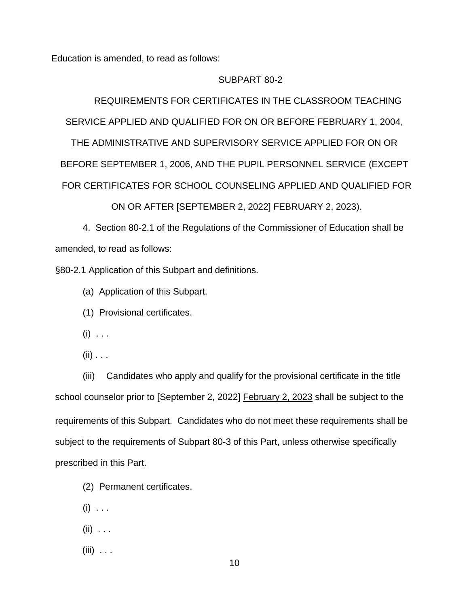Education is amended, to read as follows:

#### SUBPART 80-2

REQUIREMENTS FOR CERTIFICATES IN THE CLASSROOM TEACHING SERVICE APPLIED AND QUALIFIED FOR ON OR BEFORE FEBRUARY 1, 2004,

THE ADMINISTRATIVE AND SUPERVISORY SERVICE APPLIED FOR ON OR BEFORE SEPTEMBER 1, 2006, AND THE PUPIL PERSONNEL SERVICE (EXCEPT FOR CERTIFICATES FOR SCHOOL COUNSELING APPLIED AND QUALIFIED FOR

ON OR AFTER [SEPTEMBER 2, 2022] FEBRUARY 2, 2023).

4. Section 80-2.1 of the Regulations of the Commissioner of Education shall be amended, to read as follows:

§80-2.1 Application of this Subpart and definitions.

(a) Application of this Subpart.

(1) Provisional certificates.

- $(i) \ldots$
- $(ii)$  . . .

(iii) Candidates who apply and qualify for the provisional certificate in the title school counselor prior to [September 2, 2022] February 2, 2023 shall be subject to the requirements of this Subpart. Candidates who do not meet these requirements shall be subject to the requirements of Subpart 80-3 of this Part, unless otherwise specifically prescribed in this Part.

- (2) Permanent certificates.
- $(i) \ldots$
- $(ii) \ldots$
- $(iii)$  ...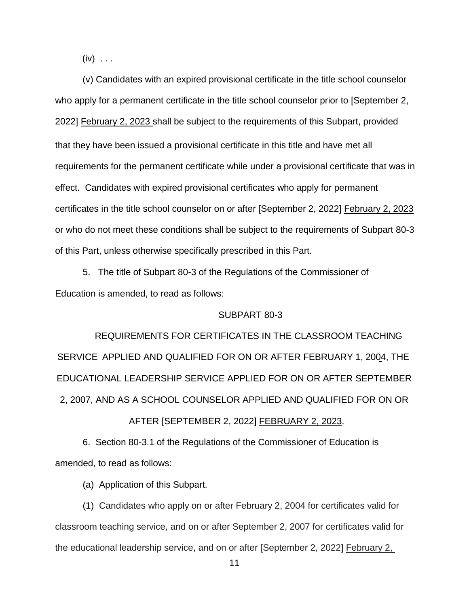$(iv) \ldots$ 

(v) Candidates with an expired provisional certificate in the title school counselor who apply for a permanent certificate in the title school counselor prior to [September 2, 2022] February 2, 2023 shall be subject to the requirements of this Subpart, provided that they have been issued a provisional certificate in this title and have met all requirements for the permanent certificate while under a provisional certificate that was in effect. Candidates with expired provisional certificates who apply for permanent certificates in the title school counselor on or after [September 2, 2022] February 2, 2023 or who do not meet these conditions shall be subject to the requirements of Subpart 80-3 of this Part, unless otherwise specifically prescribed in this Part.

5. The title of Subpart 80-3 of the Regulations of the Commissioner of Education is amended, to read as follows:

#### SUBPART 80-3

REQUIREMENTS FOR CERTIFICATES IN THE CLASSROOM TEACHING SERVICE APPLIED AND QUALIFIED FOR ON OR AFTER FEBRUARY 1, 2004, THE EDUCATIONAL LEADERSHIP SERVICE APPLIED FOR ON OR AFTER SEPTEMBER 2, 2007, AND AS A SCHOOL COUNSELOR APPLIED AND QUALIFIED FOR ON OR

### AFTER [SEPTEMBER 2, 2022] FEBRUARY 2, 2023.

6. Section 80-3.1 of the Regulations of the Commissioner of Education is amended, to read as follows:

(a) Application of this Subpart.

(1) Candidates who apply on or after February 2, 2004 for certificates valid for classroom teaching service, and on or after September 2, 2007 for certificates valid for the educational leadership service, and on or after [September 2, 2022] February 2,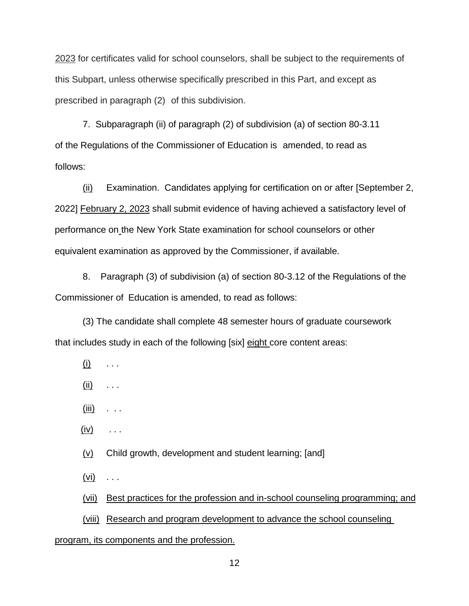2023 for certificates valid for school counselors, shall be subject to the requirements of this Subpart, unless otherwise specifically prescribed in this Part, and except as prescribed in paragraph (2) of this subdivision.

7. Subparagraph (ii) of paragraph (2) of subdivision (a) of section 80-3.11 of the Regulations of the Commissioner of Education is amended, to read as follows:

(ii) Examination. Candidates applying for certification on or after [September 2, 2022] February 2, 2023 shall submit evidence of having achieved a satisfactory level of performance on the New York State examination for school counselors or other equivalent examination as approved by the Commissioner, if available.

8. Paragraph (3) of subdivision (a) of section 80-3.12 of the Regulations of the Commissioner of Education is amended, to read as follows:

(3) The candidate shall complete 48 semester hours of graduate coursework that includes study in each of the following [six] eight core content areas:

- $(i)$  . . .
- $(ii)$  . . .
- $(iii)$  . . .
- $(iv)$  ...

 $(v)$  Child growth, development and student learning; [and]

 $(vi) \quad \ldots$ 

(vii) Best practices for the profession and in-school counseling programming; and

(viii) Research and program development to advance the school counseling

#### program, its components and the profession.